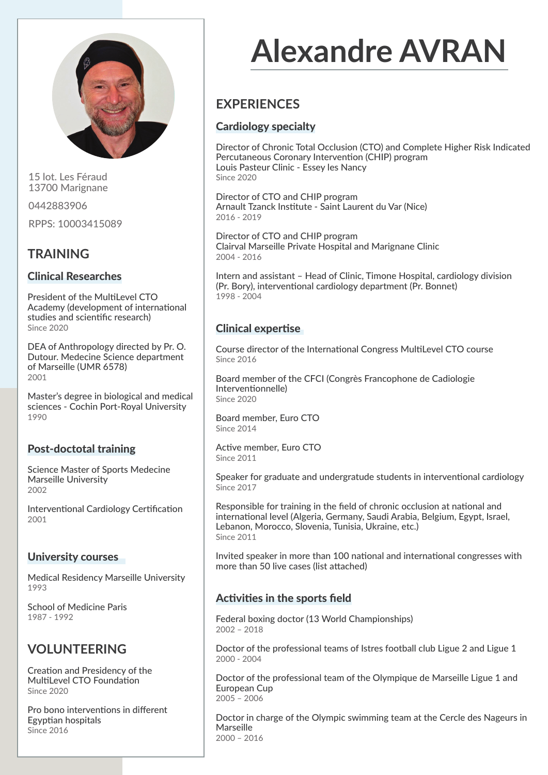

15 lot. Les Féraud 13700 Marignane

0442883906

RPPS: 10003415089

## **TRAINING**

## Clinical Researches

President of the MultiLevel CTO Academy (development of international studies and scientific research) Since 2020

DEA of Anthropology directed by Pr. O. Dutour. Medecine Science department of Marseille (UMR 6578) 2001

Master's degree in biological and medical sciences - Cochin Port-Royal University 1990

## Post-doctotal training

Science Master of Sports Medecine Marseille University 2002

Interventional Cardiology Certification 2001

## University courses

Medical Residency Marseille University 1993

School of Medicine Paris 1987 - 1992

## **VOLUNTEERING**

Creation and Presidency of the MultiLevel CTO Foundation Since 2020

Pro bono interventions in different Egyptian hospitals Since 2016

# **Alexandre AVRAN**

## **EXPERIENCES**

## Cardiology specialty

Director of Chronic Total Occlusion (CTO) and Complete Higher Risk Indicated Percutaneous Coronary Intervention (CHIP) program Louis Pasteur Clinic - Essey les Nancy Since 2020

Director of CTO and CHIP program Arnault Tzanck Institute - Saint Laurent du Var (Nice) 2016 - 2019

Director of CTO and CHIP program Clairval Marseille Private Hospital and Marignane Clinic 2004 - 2016

Intern and assistant – Head of Clinic, Timone Hospital, cardiology division (Pr. Bory), interventional cardiology department (Pr. Bonnet) 1998 - 2004

## Clinical expertise

Course director of the International Congress MultiLevel CTO course Since 2016

Board member of the CFCI (Congrès Francophone de Cadiologie Interventionnelle) Since 2020

Board member, Euro CTO Since 2014

Active member, Euro CTO Since 2011

Speaker for graduate and undergratude students in interventional cardiology Since 2017

Responsible for training in the field of chronic occlusion at national and international level (Algeria, Germany, Saudi Arabia, Belgium, Egypt, Israel, Lebanon, Morocco, Slovenia, Tunisia, Ukraine, etc.) Since 2011

Invited speaker in more than 100 national and international congresses with more than 50 live cases (list attached)

## Activities in the sports field

Federal boxing doctor (13 World Championships) 2002 – 2018

Doctor of the professional teams of Istres football club Ligue 2 and Ligue 1 2000 - 2004

Doctor of the professional team of the Olympique de Marseille Ligue 1 and European Cup 2005 – 2006

Doctor in charge of the Olympic swimming team at the Cercle des Nageurs in Marseille 2000 – 2016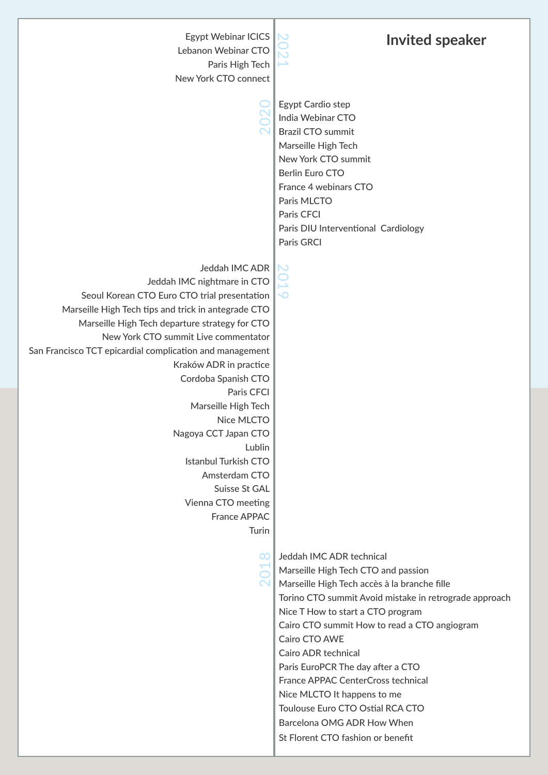| <b>Egypt Webinar ICICS</b><br>Lebanon Webinar CTO<br>Paris High Tech<br>New York CTO connect                                                                                                                                                                                                                                                                                                                                                                                                                                                                     | <b>Invited speaker</b>                                                                                                                                                                                                                                                                                                                                                                                                                                                                                                         |
|------------------------------------------------------------------------------------------------------------------------------------------------------------------------------------------------------------------------------------------------------------------------------------------------------------------------------------------------------------------------------------------------------------------------------------------------------------------------------------------------------------------------------------------------------------------|--------------------------------------------------------------------------------------------------------------------------------------------------------------------------------------------------------------------------------------------------------------------------------------------------------------------------------------------------------------------------------------------------------------------------------------------------------------------------------------------------------------------------------|
|                                                                                                                                                                                                                                                                                                                                                                                                                                                                                                                                                                  | Egypt Cardio step<br>India Webinar CTO<br><b>Brazil CTO summit</b><br>Marseille High Tech<br>New York CTO summit<br>Berlin Euro CTO<br>France 4 webinars CTO<br>Paris MLCTO<br>Paris CFCI<br>Paris DIU Interventional Cardiology<br>Paris GRCI                                                                                                                                                                                                                                                                                 |
| Jeddah IMC ADR<br>Jeddah IMC nightmare in CTO<br>Seoul Korean CTO Euro CTO trial presentation<br>Marseille High Tech tips and trick in antegrade CTO<br>Marseille High Tech departure strategy for CTO<br>New York CTO summit Live commentator<br>San Francisco TCT epicardial complication and management<br>Kraków ADR in practice<br>Cordoba Spanish CTO<br>Paris CFCI<br>Marseille High Tech<br>Nice MLCTO<br>Nagoya CCT Japan CTO<br>Lublin<br><b>Istanbul Turkish CTO</b><br>Amsterdam CTO<br>Suisse St GAL<br>Vienna CTO meeting<br>France APPAC<br>Turin | $\overline{\phantom{a}}$                                                                                                                                                                                                                                                                                                                                                                                                                                                                                                       |
| OО                                                                                                                                                                                                                                                                                                                                                                                                                                                                                                                                                               | Jeddah IMC ADR technical<br>Marseille High Tech CTO and passion<br>Marseille High Tech accès à la branche fille<br>Torino CTO summit Avoid mistake in retrograde approach<br>Nice T How to start a CTO program<br>Cairo CTO summit How to read a CTO angiogram<br>Cairo CTO AWE<br><b>Cairo ADR technical</b><br>Paris EuroPCR The day after a CTO<br>France APPAC CenterCross technical<br>Nice MLCTO It happens to me<br>Toulouse Euro CTO Ostial RCA CTO<br>Barcelona OMG ADR How When<br>St Florent CTO fashion or benefit |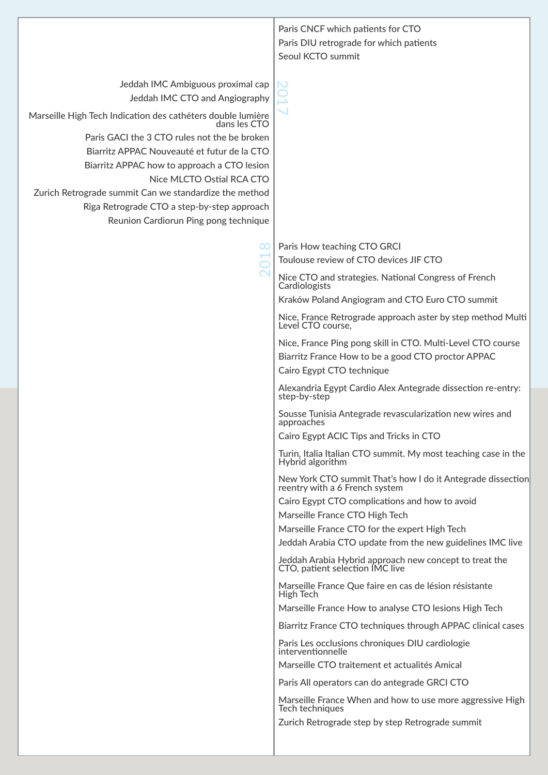| Jeddah IMC Ambiguous proximal cap<br>Jeddah IMC CTO and Angiography<br>Marseille High Tech Indication des cathéters double lumière<br>dans les CTO<br>Paris GACI the 3 CTO rules not the be broken<br>Biarritz APPAC Nouveauté et futur de la CTO<br>Biarritz APPAC how to approach a CTO lesion<br>Nice MLCTO Ostial RCA CTO<br>Zurich Retrograde summit Can we standardize the method<br>Riga Retrograde CTO a step-by-step approach<br>Reunion Cardiorun Ping pong technique<br>Paris How teaching CTO GRCI<br>$\alpha$<br>Cardiologists<br>Level CTO course, | Seoul KCTO summit                                                                                                                                                                                                                                                                                                                                                                                                                                                                                                                                                                                                                                                                                                                                                                                                                                                                                                                                                                                                                                                                                                                                                                                                                                                                                                                                                                      |
|------------------------------------------------------------------------------------------------------------------------------------------------------------------------------------------------------------------------------------------------------------------------------------------------------------------------------------------------------------------------------------------------------------------------------------------------------------------------------------------------------------------------------------------------------------------|----------------------------------------------------------------------------------------------------------------------------------------------------------------------------------------------------------------------------------------------------------------------------------------------------------------------------------------------------------------------------------------------------------------------------------------------------------------------------------------------------------------------------------------------------------------------------------------------------------------------------------------------------------------------------------------------------------------------------------------------------------------------------------------------------------------------------------------------------------------------------------------------------------------------------------------------------------------------------------------------------------------------------------------------------------------------------------------------------------------------------------------------------------------------------------------------------------------------------------------------------------------------------------------------------------------------------------------------------------------------------------------|
|                                                                                                                                                                                                                                                                                                                                                                                                                                                                                                                                                                  |                                                                                                                                                                                                                                                                                                                                                                                                                                                                                                                                                                                                                                                                                                                                                                                                                                                                                                                                                                                                                                                                                                                                                                                                                                                                                                                                                                                        |
| Cairo Egypt CTO technique<br>step-by-step<br>approaches<br>Hybrid algorithm<br>reentry with a 6 French system<br>Marseille France CTO High Tech<br><b>High Tech</b><br>Tech techniques                                                                                                                                                                                                                                                                                                                                                                           | Toulouse review of CTO devices JIF CTO<br>Nice CTO and strategies. National Congress of French<br>Kraków Poland Angiogram and CTO Euro CTO summit<br>Nice, France Retrograde approach aster by step method Multi<br>Nice, France Ping pong skill in CTO. Multi-Level CTO course<br>Biarritz France How to be a good CTO proctor APPAC<br>Alexandria Egypt Cardio Alex Antegrade dissection re-entry:<br>Sousse Tunisia Antegrade revascularization new wires and<br>Cairo Egypt ACIC Tips and Tricks in CTO<br>Turin, Italia Italian CTO summit. My most teaching case in the<br>New York CTO summit That's how I do it Antegrade dissection<br>Cairo Egypt CTO complications and how to avoid<br>Marseille France CTO for the expert High Tech<br>Jeddah Arabia CTO update from the new guidelines IMC live<br>Jeddah Arabia Hybrid approach new concept to treat the<br>CTO, patient selection IMC live<br>Marseille France Que faire en cas de lésion résistante<br>Marseille France How to analyse CTO lesions High Tech<br>Biarritz France CTO techniques through APPAC clinical cases<br>Paris Les occlusions chroniques DIU cardiologie<br>interventionnelle<br>Marseille CTO traitement et actualités Amical<br>Paris All operators can do antegrade GRCI CTO<br>Marseille France When and how to use more aggressive High<br>Zurich Retrograde step by step Retrograde summit |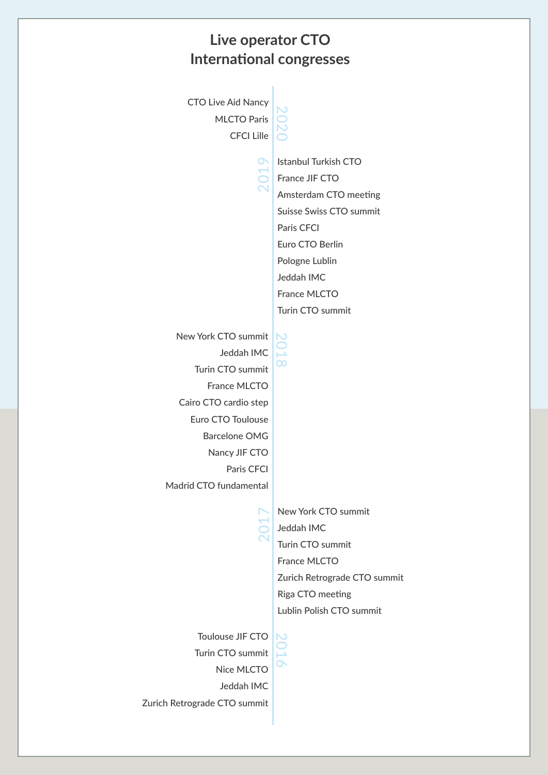## **Live operator CTO International congresses**

CTO Live Aid Nancy MLCTO Paris CFCI Lille

 $\overline{\mathsf{C}}$  $\bigcirc$  $\overline{\mathsf{C}}$  $\bigcirc$ 

 $\sim$  $\circ$  $\overline{\phantom{0}}$  $\sigma$  Istanbul Turkish CTO France JIF CTO Amsterdam CTO meeting Suisse Swiss CTO summit Paris CFCI Euro CTO Berlin Pologne Lublin Jeddah IMC France MLCTO Turin CTO summit

New York CTO summit Jeddah IMC Turin CTO summit France MLCTO Cairo CTO cardio step Euro CTO Toulouse Barcelone OMG Nancy JIF CTO Paris CFCI Madrid CTO fundamental

 $\overline{\mathsf{C}}$  $\bigcirc$  $\overline{\phantom{0}}$  $\infty$ 

> New York CTO summit Jeddah IMC Turin CTO summit France MLCTO Zurich Retrograde CTO summit Riga CTO meeting Lublin Polish CTO summit

Toulouse JIF CTO Turin CTO summit Nice MLCTO Jeddah IMC Zurich Retrograde CTO summit

 $\overline{\mathsf{C}}$  $\bigcirc$  $\overline{\phantom{0}}$  $\mathbf{\Omega}$ 

 $\sim$  $\bigcirc$  $\overline{\phantom{0}}$  $\mathord{\rhd}$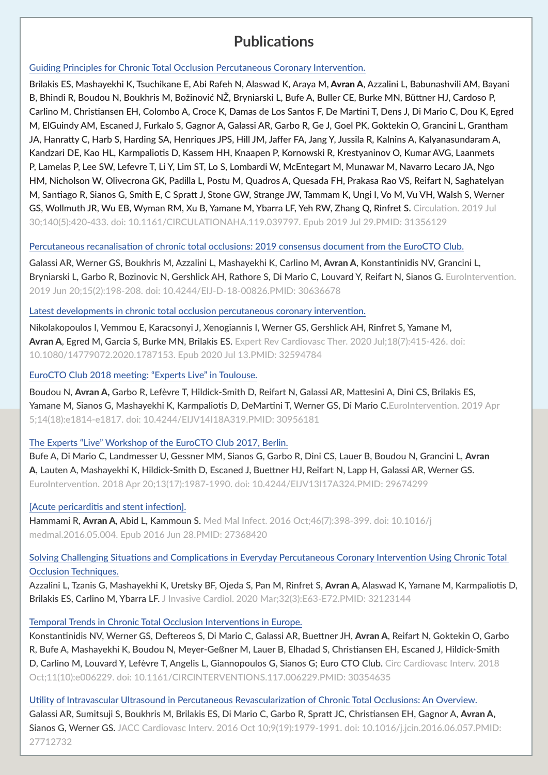# **Publications Publications**

#### Guiding Principles for Chronic Total Occlusion Percutaneous Coronary Intervention.

Brilakis ES, Mashayekhi K, Tsuchikane E, Abi Rafeh N, Alaswad K, Araya M, Avran A, Azzalini L, Babunashvili AM, Bayani B, Bhindi R, Boudou N, Boukhris M, Božinović NŽ, Bryniarski L, Bufe A, Buller CE, Burke MN, Büttner HJ, Cardoso P, Carlino M, Christiansen EH, Colombo A, Croce K, Damas de Los Santos F, De Martini T, Dens J, Di Mario C, Dou K, Egred M, ElGuindy AM, Escaned J, Furkalo S, Gagnor A, Galassi AR, Garbo R, Ge J, Goel PK, Goktekin O, Grancini L, Grantham JA, Hanratty C, Harb S, Harding SA, Henriques JPS, Hill JM, Jaffer FA, Jang Y, Jussila R, Kalnins A, Kalyanasundaram A, Kandzari DE, Kao HL, Karmpaliotis D, Kassem HH, Knaapen P, Kornowski R, Krestyaninov O, Kumar AVG, Laanmets P, Lamelas P, Lee SW, Lefevre T, Li Y, Lim ST, Lo S, Lombardi W, McEntegart M, Munawar M, Navarro Lecaro JA, Ngo HM, Nicholson W, Olivecrona GK, Padilla L, Postu M, Quadros A, Quesada FH, Prakasa Rao VS, Reifart N, Saghatelyan M, Santiago R, Sianos G, Smith E, C Spratt J, Stone GW, Strange JW, Tammam K, Ungi I, Vo M, Vu VH, Walsh S, Werner GS, Wollmuth JR, Wu EB, Wyman RM, Xu B, Yamane M, Ybarra LF, Yeh RW, Zhang Q, Rinfret S. Circulation. 2019 Jul 30;140(5):420-433. doi: 10.1161/CIRCULATIONAHA.119.039797. Epub 2019 Jul 29.PMID: 31356129

#### Percutaneous recanalisation of chronic total occlusions: 2019 consensus document from the EuroCTO Club.

Galassi AR, Werner GS, Boukhris M, Azzalini L, Mashayekhi K, Carlino M, Avran A, Konstantinidis NV, Grancini L, Bryniarski L, Garbo R, Bozinovic N, Gershlick AH, Rathore S, Di Mario C, Louvard Y, Reifart N, Sianos G. EuroIntervention. 2019 Jun 20;15(2):198-208. doi: 10.4244/EIJ-D-18-00826.PMID: 30636678

Latest developments in chronic total occlusion percutaneous coronary intervention.

Nikolakopoulos I, Vemmou E, Karacsonyi J, Xenogiannis I, Werner GS, Gershlick AH, Rinfret S, Yamane M, Avran A, Egred M, Garcia S, Burke MN, Brilakis ES, Expert Rev Cardiovasc Ther. 2020 Jul:18(7):415-426. doi: 10.1080/14779072.2020.1787153. Epub 2020 Jul 13.PMID: 32594784

## EuroCTO Club 2018 meeting: "Experts Live" in Toulouse.

Boudou N, Avran A, Garbo R, Lefèvre T, Hildick-Smith D, Reifart N, Galassi AR, Mattesini A, Dini CS, Brilakis ES, Yamane M, Sianos G, Mashayekhi K, Karmpaliotis D, DeMartini T, Werner GS, Di Mario C.EuroIntervention. 2019 Apr 5;14(18):e1814-e1817. doi: 10.4244/EIJV14I18A319.PMID: 30956181

## The Experts "Live" Workshop of the EuroCTO Club 2017, Berlin.

Bufe A, Di Mario C, Landmesser U, Gessner MM, Sianos G, Garbo R, Dini CS, Lauer B, Boudou N, Grancini L, Avran A, Lauten A, Mashayekhi K, Hildick-Smith D, Escaned J, Buettner HJ, Reifart N, Lapp H, Galassi AR, Werner GS. EuroIntervention. 2018 Apr 20;13(17):1987-1990. doi: 10.4244/EIJV13I17A324.PMID: 29674299

## [Acute pericarditis and stent infection].

Hammami R, Avran A, Abid L, Kammoun S. Med Mal Infect. 2016 Oct;46(7):398-399. doi: 10.1016/j medmal.2016.05.004. Epub 2016 Jun 28.PMID: 27368420

## Solving Challenging Situations and Complications in Everyday Percutaneous Coronary Intervention Using Chronic Total Occlusion Techniques.

Azzalini L, Tzanis G, Mashayekhi K, Uretsky BF, Ojeda S, Pan M, Rinfret S, Avran A, Alaswad K, Yamane M, Karmpaliotis D, Brilakis ES, Carlino M, Ybarra LF. J Invasive Cardiol. 2020 Mar;32(3):E63-E72.PMID: 32123144

## Temporal Trends in Chronic Total Occlusion Interventions in Europe.

Konstantinidis NV, Werner GS, Deftereos S, Di Mario C, Galassi AR, Buettner JH, Avran A, Reifart N, Goktekin O, Garbo R, Bufe A, Mashayekhi K, Boudou N, Meyer-Geßner M, Lauer B, Elhadad S, Christiansen EH, Escaned J, Hildick-Smith D, Carlino M, Louvard Y, Lefèvre T, Angelis L, Giannopoulos G, Sianos G; Euro CTO Club. Circ Cardiovasc Interv. 2018 Oct;11(10):e006229. doi: 10.1161/CIRCINTERVENTIONS.117.006229.PMID: 30354635

# Utility of Intravascular Ultrasound in Percutaneous Revascularization of Chronic Total Occlusions: An Overview.

Galassi AR, Sumitsuji S, Boukhris M, Brilakis ES, Di Mario C, Garbo R, Spratt JC, Christiansen EH, Gagnor A, Avran A, Sianos G, Werner GS. JACC Cardiovasc Interv. 2016 Oct 10;9(19):1979-1991. doi: 10.1016/j.jcin.2016.06.057.PMID: 27712732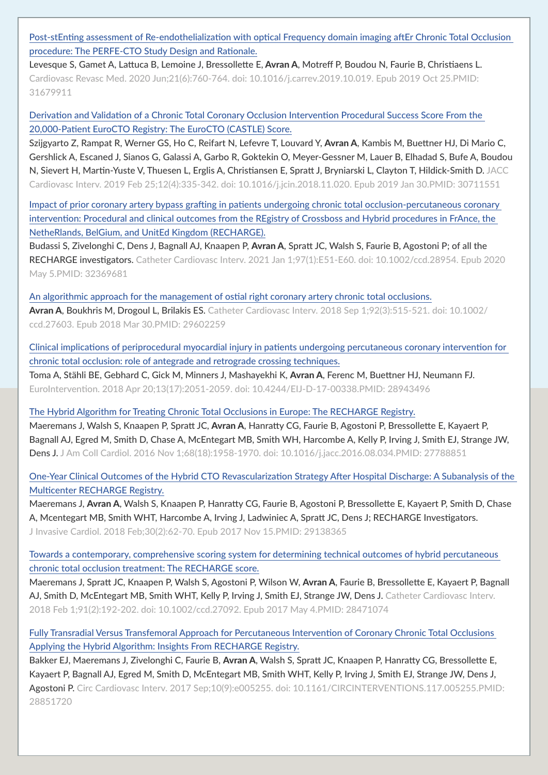Post-stEnting assessment of Re-endothelialization with optical Frequency domain imaging aftEr Chronic Total Occlusion procedure: The PERFE-CTO Study Design and Rationale.

Levesque S, Gamet A, Lattuca B, Lemoine J, Bressollette E, Avran A, Motreff P, Boudou N, Faurie B, Christiaens L. Cardiovasc Revasc Med. 2020 Jun;21(6):760-764. doi: 10.1016/j.carrev.2019.10.019. Epub 2019 Oct 25.PMID: 31679911

Derivation and Validation of a Chronic Total Coronary Occlusion Intervention Procedural Success Score From the 20,000-Patient EuroCTO Registry: The EuroCTO (CASTLE) Score.

Szijgyarto Z, Rampat R, Werner GS, Ho C, Reifart N, Lefevre T, Louvard Y, Avran A, Kambis M, Buettner HJ, Di Mario C, Gershlick A, Escaned J, Sianos G, Galassi A, Garbo R, Goktekin O, Meyer-Gessner M, Lauer B, Elhadad S, Bufe A, Boudou N, Sievert H, Martin-Yuste V, Thuesen L, Erglis A, Christiansen E, Spratt J, Bryniarski L, Clayton T, Hildick-Smith D. JACC Cardiovasc Interv. 2019 Feb 25;12(4):335-342. doi: 10.1016/j.jcin.2018.11.020. Epub 2019 Jan 30.PMID: 30711551

Impact of prior coronary artery bypass grafting in patients undergoing chronic total occlusion-percutaneous coronary intervention: Procedural and clinical outcomes from the REgistry of Crossboss and Hybrid procedures in FrAnce, the NetheRlands, BelGium, and UnitEd Kingdom (RECHARGE).

Budassi S, Zivelonghi C, Dens J, Bagnall AJ, Knaapen P, Avran A, Spratt JC, Walsh S, Faurie B, Agostoni P; of all the RECHARGE investigators. Catheter Cardiovasc Interv. 2021 Jan 1;97(1):E51-E60. doi: 10.1002/ccd.28954. Epub 2020 May 5.PMID: 32369681

An algorithmic approach for the management of ostial right coronary artery chronic total occlusions. Avran A, Boukhris M, Drogoul L, Brilakis ES. Catheter Cardiovasc Interv. 2018 Sep 1;92(3):515-521. doi: 10.1002/ ccd.27603. Epub 2018 Mar 30.PMID: 29602259

Clinical implications of periprocedural myocardial injury in patients undergoing percutaneous coronary intervention for chronic total occlusion: role of antegrade and retrograde crossing techniques.

Toma A, Stähli BE, Gebhard C, Gick M, Minners J, Mashayekhi K, Avran A, Ferenc M, Buettner HJ, Neumann FJ. EuroIntervention. 2018 Apr 20;13(17):2051-2059. doi: 10.4244/EIJ-D-17-00338.PMID: 28943496

The Hybrid Algorithm for Treating Chronic Total Occlusions in Europe: The RECHARGE Registry.

Maeremans J, Walsh S, Knaapen P, Spratt JC, Avran A, Hanratty CG, Faurie B, Agostoni P, Bressollette E, Kayaert P, Bagnall AJ, Egred M, Smith D, Chase A, McEntegart MB, Smith WH, Harcombe A, Kelly P, Irving J, Smith EJ, Strange JW, Dens J. J Am Coll Cardiol. 2016 Nov 1;68(18):1958-1970. doi: 10.1016/j.jacc.2016.08.034.PMID: 27788851

One-Year Clinical Outcomes of the Hybrid CTO Revascularization Strategy After Hospital Discharge: A Subanalysis of the Multicenter RECHARGE Registry.

Maeremans J, Avran A, Walsh S, Knaapen P, Hanratty CG, Faurie B, Agostoni P, Bressollette E, Kayaert P, Smith D, Chase A, Mcentegart MB, Smith WHT, Harcombe A, Irving J, Ladwiniec A, Spratt JC, Dens J; RECHARGE Investigators. J Invasive Cardiol. 2018 Feb;30(2):62-70. Epub 2017 Nov 15.PMID: 29138365

Towards a contemporary, comprehensive scoring system for determining technical outcomes of hybrid percutaneous chronic total occlusion treatment: The RECHARGE score.

Maeremans J, Spratt JC, Knaapen P, Walsh S, Agostoni P, Wilson W, Avran A, Faurie B, Bressollette E, Kayaert P, Bagnall AJ, Smith D, McEntegart MB, Smith WHT, Kelly P, Irving J, Smith EJ, Strange JW, Dens J. Catheter Cardiovasc Interv. 2018 Feb 1;91(2):192-202. doi: 10.1002/ccd.27092. Epub 2017 May 4.PMID: 28471074

Fully Transradial Versus Transfemoral Approach for Percutaneous Intervention of Coronary Chronic Total Occlusions Applying the Hybrid Algorithm: Insights From RECHARGE Registry.

Bakker EJ, Maeremans J, Zivelonghi C, Faurie B, Avran A, Walsh S, Spratt JC, Knaapen P, Hanratty CG, Bressollette E, Kayaert P, Bagnall AJ, Egred M, Smith D, McEntegart MB, Smith WHT, Kelly P, Irving J, Smith EJ, Strange JW, Dens J, Agostoni P. Circ Cardiovasc Interv. 2017 Sep;10(9):e005255. doi: 10.1161/CIRCINTERVENTIONS.117.005255.PMID: 28851720